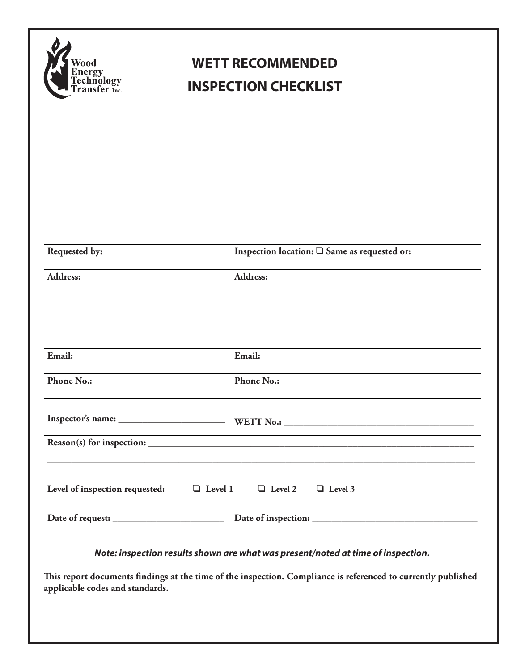

## **WETT RECOMMENDED INSPECTION CHECKLIST**

| Requested by:                                                               | Inspection location: <sup>2</sup> Same as requested or: |  |  |
|-----------------------------------------------------------------------------|---------------------------------------------------------|--|--|
| Address:                                                                    | <b>Address:</b>                                         |  |  |
|                                                                             |                                                         |  |  |
|                                                                             |                                                         |  |  |
|                                                                             |                                                         |  |  |
| Email:                                                                      | Email:                                                  |  |  |
| <b>Phone No.:</b>                                                           | <b>Phone No.:</b>                                       |  |  |
|                                                                             |                                                         |  |  |
|                                                                             |                                                         |  |  |
|                                                                             |                                                         |  |  |
|                                                                             |                                                         |  |  |
| Level of inspection requested: $\Box$ Level 1 $\Box$ Level 2 $\Box$ Level 3 |                                                         |  |  |
| Date of request: $\frac{1}{\sqrt{1-\frac{1}{2}}}\left \frac{1}{2}\right $   |                                                         |  |  |

*Note: inspection results shown are what was present/noted at time of inspection.* 

**This report documents findings at the time of the inspection. Compliance is referenced to currently published applicable codes and standards.**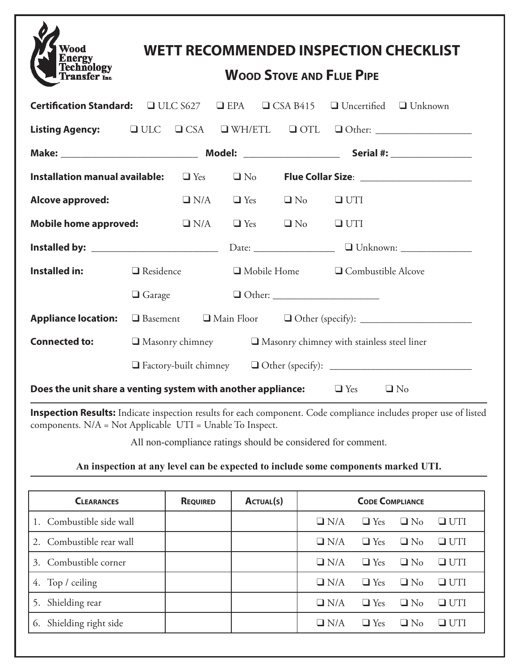| Wood<br><b>Fechnology</b><br>Fransfer Inc.                                                                | <b>WETT RECOMMENDED INSPECTION CHECKLIST</b><br><b>WOOD STOVE AND FLUE PIPE</b> |  |                                            |  |                                              |                                 |  |
|-----------------------------------------------------------------------------------------------------------|---------------------------------------------------------------------------------|--|--------------------------------------------|--|----------------------------------------------|---------------------------------|--|
| Certification Standard: UUC S627 U EPA UCSA B415 U Uncertified U Unknown                                  |                                                                                 |  |                                            |  |                                              |                                 |  |
|                                                                                                           |                                                                                 |  |                                            |  |                                              |                                 |  |
|                                                                                                           |                                                                                 |  |                                            |  |                                              |                                 |  |
| Installation manual available:<br>$\Box$ Yes $\Box$ No Flue Collar Size: ________________________________ |                                                                                 |  |                                            |  |                                              |                                 |  |
| Alcove approved:                                                                                          |                                                                                 |  | $\Box$ N/A $\Box$ Yes $\Box$ No $\Box$ UTI |  |                                              |                                 |  |
| Mobile home approved: $\square N/A$                                                                       |                                                                                 |  |                                            |  |                                              | $\Box$ Yes $\Box$ No $\Box$ UTI |  |
|                                                                                                           |                                                                                 |  |                                            |  |                                              |                                 |  |
| <b>Installed in:</b>                                                                                      | $\Box$ Residence                                                                |  |                                            |  | $\Box$ Mobile Home $\Box$ Combustible Alcove |                                 |  |
|                                                                                                           | $\Box$ Garage                                                                   |  |                                            |  |                                              |                                 |  |
| <b>Appliance location:</b>                                                                                |                                                                                 |  |                                            |  |                                              |                                 |  |
| <b>Connected to:</b>                                                                                      | $\square$ Masonry chimney $\square$ Masonry chimney with stainless steel liner  |  |                                            |  |                                              |                                 |  |
|                                                                                                           |                                                                                 |  |                                            |  |                                              |                                 |  |
| Does the unit share a venting system with another appliance: $\Box$ Yes $\Box$ No                         |                                                                                 |  |                                            |  |                                              |                                 |  |

**Inspection Results:** Indicate inspection results for each component. Code compliance includes proper use of listed components. N/A = Not Applicable UTI = Unable To Inspect.

All non-compliance ratings should be considered for comment.

## **An inspection at any level can be expected to include some components marked UTI.**

| <b>CLEARANCES</b>          | <b>REQUIRED</b> | ACTUAL(S) | <b>CODE COMPLIANCE</b> |            |           |            |
|----------------------------|-----------------|-----------|------------------------|------------|-----------|------------|
| 1. Combustible side wall   |                 |           | $\Box$ N/A             | $\Box$ Yes | $\Box$ No | $\Box$ UTI |
| 2. Combustible rear wall   |                 |           | $\Box$ N/A             | $\Box$ Yes | $\Box$ No | $\Box$ UTI |
| Combustible corner<br>3.   |                 |           | $\Box$ N/A             | $\Box$ Yes | $\Box$ No | $\Box$ UTI |
| 4. Top / ceiling           |                 |           | $\Box$ N/A             | $\Box$ Yes | $\Box$ No | $\Box$ UTI |
| Shielding rear<br>5.       |                 |           | $\Box$ N/A             | $\Box$ Yes | $\Box$ No | $\Box$ UTI |
| Shielding right side<br>6. |                 |           | $\Box$ N/A             | $\Box$ Yes | $\Box$ No | UTI<br>. . |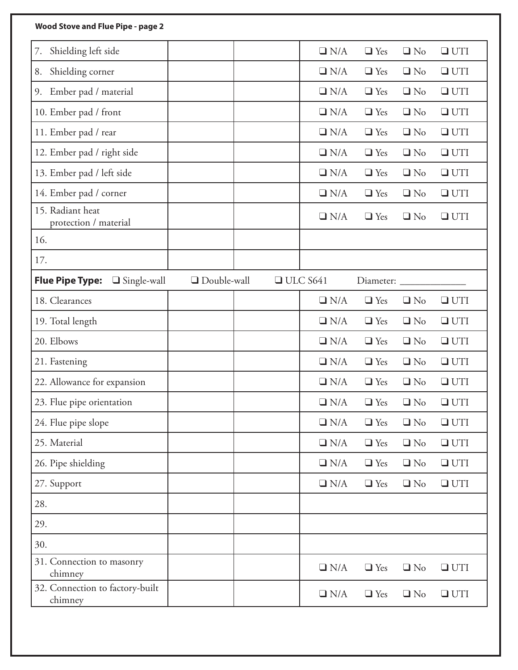| Wood Stove and Flue Pipe - page 2            |                    |                 |               |            |           |            |
|----------------------------------------------|--------------------|-----------------|---------------|------------|-----------|------------|
| Shielding left side<br>7.                    |                    |                 | $\Box$ N/A    | $\Box$ Yes | $\Box$ No | $\Box$ UTI |
| Shielding corner<br>8.                       |                    |                 | $\Box$ N/A    | $\Box$ Yes | $\Box$ No | $\Box$ UTI |
| Ember pad / material<br>9.                   |                    |                 | $\Box$ N/A    | $\Box$ Yes | $\Box$ No | $\Box$ UTI |
| 10. Ember pad / front                        |                    |                 | $\Box$ N/A    | $\Box$ Yes | $\Box$ No | $\Box$ UTI |
| 11. Ember pad / rear                         |                    |                 | $\Box$ N/A    | $\Box$ Yes | $\Box$ No | $\Box$ UTI |
| 12. Ember pad / right side                   |                    |                 | $\Box$ N/A    | $\Box$ Yes | $\Box$ No | $\Box$ UTI |
| 13. Ember pad / left side                    |                    |                 | $\Box$ N/A    | $\Box$ Yes | $\Box$ No | $\Box$ UTI |
| 14. Ember pad / corner                       |                    |                 | $\Box$ N/A    | $\Box$ Yes | $\Box$ No | $\Box$ UTI |
| 15. Radiant heat<br>protection / material    |                    |                 | $\Box$ N/A    | $\Box$ Yes | $\Box$ No | $\Box$ UTI |
| 16.                                          |                    |                 |               |            |           |            |
| 17.                                          |                    |                 |               |            |           |            |
| <b>Flue Pipe Type:</b><br>$\Box$ Single-wall | $\Box$ Double-wall | $\Box$ ULC S641 |               | Diameter:  |           |            |
| 18. Clearances                               |                    |                 | $\Box$ N/A    | $\Box$ Yes | $\Box$ No | $\Box$ UTI |
| 19. Total length                             |                    |                 | $\Box$ N/A    | $\Box$ Yes | $\Box$ No | $\Box$ UTI |
| 20. Elbows                                   |                    |                 | $\Box$ N/A    | $\Box$ Yes | $\Box$ No | $\Box$ UTI |
| 21. Fastening                                |                    |                 | $\Box$ N/A    | $\Box$ Yes | $\Box$ No | $\Box$ UTI |
| 22. Allowance for expansion                  |                    |                 | $\Box$ N/A    | $\Box$ Yes | $\Box$ No | $\Box$ UTI |
| 23. Flue pipe orientation                    |                    |                 | $\square$ N/A | $\Box$ Yes | $\Box$ No | $\Box$ UTI |
| 24. Flue pipe slope                          |                    |                 | $\Box$ N/A    | $\Box$ Yes | $\Box$ No | $\Box$ UTI |
| 25. Material                                 |                    |                 | $\Box$ N/A    | $\Box$ Yes | $\Box$ No | $\Box$ UTI |
| 26. Pipe shielding                           |                    |                 | $\Box$ N/A    | $\Box$ Yes | $\Box$ No | $\Box$ UTI |
| 27. Support                                  |                    |                 | $\Box$ N/A    | $\Box$ Yes | $\Box$ No | $\Box$ UTI |
| 28.                                          |                    |                 |               |            |           |            |
| 29.                                          |                    |                 |               |            |           |            |
| 30.                                          |                    |                 |               |            |           |            |
| 31. Connection to masonry<br>chimney         |                    |                 | $\Box$ N/A    | $\Box$ Yes | $\Box$ No | $\Box$ UTI |
| 32. Connection to factory-built<br>chimney   |                    |                 | $\Box$ N/A    | $\Box$ Yes | $\Box$ No | $\Box$ UTI |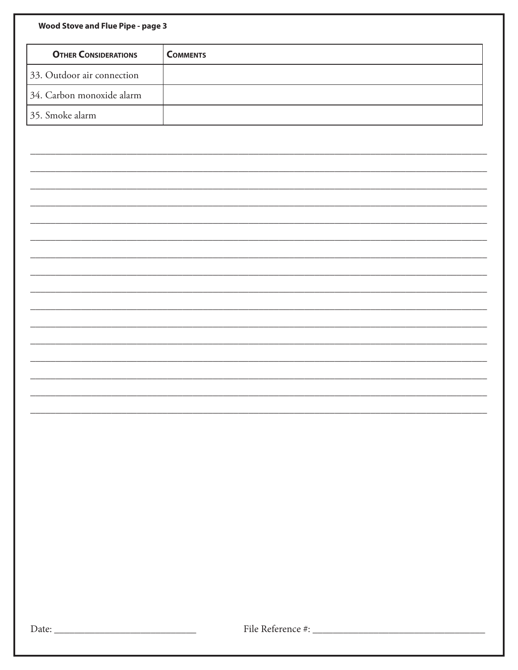| Wood Stove and Flue Pipe - page 3 |                 |
|-----------------------------------|-----------------|
| <b>OTHER CONSIDERATIONS</b>       | <b>COMMENTS</b> |
| 33. Outdoor air connection        |                 |
| 34. Carbon monoxide alarm         |                 |
| 35. Smoke alarm                   |                 |
|                                   |                 |
|                                   |                 |
|                                   |                 |
|                                   |                 |
|                                   |                 |
|                                   |                 |
|                                   |                 |
|                                   |                 |
|                                   |                 |
|                                   |                 |
|                                   |                 |
|                                   |                 |
|                                   |                 |
|                                   |                 |
|                                   |                 |
|                                   |                 |
|                                   |                 |
|                                   |                 |
|                                   |                 |
|                                   |                 |
|                                   |                 |
|                                   |                 |
|                                   |                 |
|                                   |                 |
|                                   |                 |
|                                   |                 |